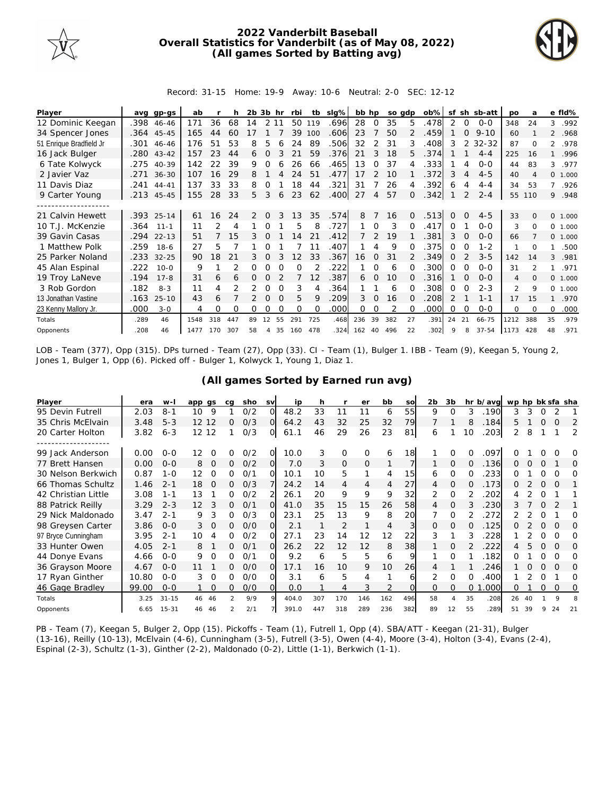

## **2022 Vanderbilt Baseball Overall Statistics for Vanderbilt (as of May 08, 2022) (All games Sorted by Batting avg)**



Record: 31-15 Home: 19-9 Away: 10-6 Neutral: 2-0 SEC: 12-12

| Player                  | ava  | gp-gs      | ab   |     |     | 2b. | 3b hr    |          | rbi      | tb          | slg% | bb hp |               | so adp |               | $ob\%$ |          |                | sf sh sb-att | <b>DO</b>      | a              |                | e fld%   |
|-------------------------|------|------------|------|-----|-----|-----|----------|----------|----------|-------------|------|-------|---------------|--------|---------------|--------|----------|----------------|--------------|----------------|----------------|----------------|----------|
| 12 Dominic Keegan       | .398 | 46-46      | 171  | 36  | 68  | 14  | 2 1 1    |          | 50       | 119         | .696 | 28    | 0             | 35     | 5.            | .478   | 2        | $\overline{0}$ | $0 - 0$      | 348            | 24             | 3              | .992     |
| 34 Spencer Jones        |      | .364 45-45 | 165  | 44  | 60  |     |          |          | 39       | 100         | .606 | 23    |               | 50     | $\mathcal{P}$ | .459   |          | $\Omega$       | $9 - 10$     | 60             |                |                | 2 .968   |
| 51 Enrique Bradfield Jr | .301 | 46-46      | 176  | 51  | 53  | 8   | 5        |          | 24       | 89          | .506 | 32    | 2             | 31     | 3             | .408   | 3        | 2              | $32 - 32$    | 87             | $\Omega$       | $\overline{2}$ | .978     |
| 16 Jack Bulger          | .280 | $43 - 42$  | 157  | 23  | 44  | 6   | $\Omega$ |          | 21       | 59          | .376 | 21    | 3             | 18     | 5.            | .374   |          |                | $4 - 4$      | 225            | 16             | 1              | .996     |
| 6 Tate Kolwyck          | .275 | 40-39      | 142  | 22  | 39  | 9   | ∩        |          | 26       | 66          | .465 | 13    | 0             | 37     |               | .333   |          | 4              | $0 - 0$      | 44             | 83             | 3              | .977     |
| 2 Javier Vaz            | .271 | $36 - 30$  | 107  | 16  | 29  | 8   |          |          | 24       | 51          | .477 | 17    | 2             | 10     |               | 372    | 3        | 4              | $4 - 5$      | 40             | 4              |                | 0, 1,000 |
| 11 Davis Diaz           | .241 | $44 - 41$  | 137  | 33  | 33  | 8   | 0        |          | 18       | 44          | .321 | 31    |               | 26     | 4             | .392   | 6        | 4              | $4 - 4$      | 34             | 53             | $7^{\circ}$    | .926     |
| 9 Carter Young          |      | .213 45-45 | 155  | 28  | 33  | 5   | 3        | 6        | 23       | 62          | .400 | 27    | 4             | 57     | $\Omega$      | .342   |          | 2              | $2 - 4$      | 55             | 110            |                | 9.948    |
|                         |      |            |      |     |     |     |          |          |          |             |      |       |               |        |               |        |          |                |              |                |                |                |          |
| 21 Calvin Hewett        |      | .393 25-14 | 61   | 16  | 24  | 2   | $\Omega$ | 3        | 13       | 35          | .574 | 8     |               | 16     | $\Omega$      | .513   | $\Omega$ | $\Omega$       | $4 - 5$      | 33             | $\Omega$       |                | 0 1.000  |
| 10 T.J. McKenzie        | .364 | $11 - 1$   | 11   |     | 4   |     |          |          | 5        | 8           | .727 |       | $\Omega$      | 3      | $\Omega$      | .417   | 0        |                | $O-O$        | 3              | 0              | $\Omega$       | 1.000    |
| 39 Gavin Casas          | .294 | $22 - 13$  | 51   |     | 15  | 3.  |          |          | 14       | 21          | .412 |       | $\mathcal{P}$ | 19     |               | 381    | 3        | $\Omega$       | $O - O$      | 66             |                |                | 0 1.000  |
| 1 Matthew Polk          | .259 | $18-6$     | 27   | 5   |     |     | Ω        |          |          | 11          | .407 |       |               | 9      | ∩             | 375    | 0        | ∩              | $1 - 2$      | 1              | 0              | 1              | .500     |
| 25 Parker Noland        | .233 | $32 - 25$  | 90   | 8   | 21  | 3.  | $\Omega$ |          | 2        | 33          | .367 | 16    | $\Omega$      | 31     |               | .349   | 0        |                | $3 - 5$      | 142            | 14             | 3              | .981     |
| 45 Alan Espinal         | .222 | $10 - 0$   | 9    |     | 2   | 0   |          | $\Omega$ | $\Omega$ |             | .222 |       | $\Omega$      | 6      |               | .300   | $\Omega$ | $\Omega$       | $O-O$        | 31             | $\mathfrak{D}$ | 1              | .971     |
| 19 Troy LaNeve          | .194 | $17 - 8$   | 31   | 6   | 6   | 0   | 0        |          |          | 12          | .387 | 6     | $\Omega$      | 10     | O.            | .316   |          | $\Omega$       | $O - O$      | $\overline{4}$ | $\Omega$       |                | 0 1.000  |
| 3 Rob Gordon            | .182 | $8 - 3$    | 11   | 4   |     |     | 0        | $\Omega$ | 3        |             | .364 |       |               | 6      |               | 308    | 0        | $\Omega$       | $2 - 3$      | $\overline{2}$ | 9              | 0              | 1.000    |
| 13 Jonathan Vastine     | .163 | $25 - 10$  | 43   | 6   |     |     | $\Omega$ | $\Omega$ | 5        | $\mathsf Q$ | .209 | 3     | $\Omega$      | 16     | O.            | .208   | 2        |                | $1 - 1$      | 17             | 15             | 1              | .970     |
| 23 Kenny Mallory Jr.    | .000 | $3 - 0$    | 4    | Ω   | O   | 0   |          |          | O        | $\Omega$    | .000 | 0     | 0             | 2      | 0             | .000   | 0        | $\Omega$       | $0 - 0$      | 0              | $\Omega$       | 0              | .000     |
| Totals                  | .289 | 46         | 1548 | 318 | 447 | 89  | 12       | 55       | 291      | 725         | .468 | 236   | 39            | 382    | 27            | .391   | 24       | 21             | 66-75        | 1212           | 388            | 35             | .979     |
| Opponents               | .208 | 46         | 1477 | 170 | 307 | 58  | 4        | 35       | 160      | 478         | 324  | 162   | 40            | 496    | 22            | .302   | 9        | 8              | $37 - 54$    | 1173           | 428            | 48             | .971     |

LOB - Team (377), Opp (315). DPs turned - Team (27), Opp (33). CI - Team (1), Bulger 1. IBB - Team (9), Keegan 5, Young 2, Jones 1, Bulger 1, Opp (6). Picked off - Bulger 1, Kolwyck 1, Young 1, Diaz 1.

|  | (All games Sorted by Earned run avg) |  |
|--|--------------------------------------|--|
|--|--------------------------------------|--|

| Player              | era   | $W -$     | app gs            |          | ca | sho | <b>SV</b> | ip    | h   |                | er       | bb  | SO  | 2 <sub>b</sub> | 3b       |          | hr b/avg | wp hp bk sfa sha |    |          |          |          |
|---------------------|-------|-----------|-------------------|----------|----|-----|-----------|-------|-----|----------------|----------|-----|-----|----------------|----------|----------|----------|------------------|----|----------|----------|----------|
| 95 Devin Futrell    | 2.03  | $8 - 1$   | 10                | 9        |    | 0/2 | Ω         | 48.2  | 33  | 11             |          | 6   | 55  | 9              | O        | 3        | 190      | 3                | 3  |          |          |          |
| 35 Chris McElvain   | 3.48  | $5 - 3$   | 12 12             |          | 0  | O/3 | $\Omega$  | 64.2  | 43  | 32             | 25       | 32  | 79  |                |          | 8        | .184     | 5.               |    | $\Omega$ | O        | 2        |
| 20 Carter Holton    | 3.82  | $6 - 3$   | $12 \overline{ }$ | 12       |    | O/3 | 0         | 61.1  | 46  | 29             | 26       | 23  | 81  | 6              |          | 10       | 203      |                  | 8  |          |          | 2        |
|                     |       |           |                   |          |    |     |           |       |     |                |          |     |     |                |          |          |          |                  |    |          |          |          |
| 99 Jack Anderson    | 0.00  | $0 - 0$   | 12                | Ω        | O  | 0/2 | Ω         | 10.0  | 3   | 0              | $\Omega$ | 6   | 18  |                | Ω        |          | .097     |                  |    |          |          | O        |
| 77 Brett Hansen     | 0.00  | $0 - 0$   | 8                 | $\Omega$ | 0  | 0/2 | Ω         | 7.0   | 3   | $\Omega$       | $\Omega$ |     |     |                | $\Omega$ | $\Omega$ | .136     | 0                |    | $\Omega$ |          | O        |
| 30 Nelson Berkwich  | 0.87  | $1 - 0$   | 12                | $\Omega$ | 0  | 0/1 | $\Omega$  | 10.1  | 10  | 5              | 1        | 4   | 15  | 6              | $\Omega$ |          | 233      | ∩                |    |          |          | Ω        |
| 66 Thomas Schultz   | 1.46  | $2 - 1$   | 18                | $\Omega$ | 0  | O/3 |           | 24.2  | 14  | $\overline{4}$ | 4        | 4   | 27  | 4              | $\Omega$ | $\Omega$ | 173      | Ω                |    | $\Omega$ | $\Omega$ |          |
| 42 Christian Little | 3.08  | $1 - 1$   | 13                |          | 0  | 0/2 |           | 26.1  | 20  | 9              | 9        | 9   | 32  | 2              | $\Omega$ |          | 202      | 4                |    | O        |          |          |
| 88 Patrick Reilly   | 3.29  | $2 - 3$   | 12                | 3        | 0  | O/1 | Ω         | 41.0  | 35  | 15             | 15       | 26  | 58  | 4              | $\Omega$ |          | .230     | 3                |    |          |          |          |
| 29 Nick Maldonado   | 3.47  | $2 - 1$   | 9                 | 3        | 0  | 0/3 | ∩         | 23.1  | 25  | 13             | 9        | 8   | 20  |                | $\Omega$ |          | 272      |                  |    | ∩        |          | Ω        |
| 98 Greysen Carter   | 3.86  | $0 - 0$   | 3                 | $\Omega$ | 0  | O/O | Ω         | 2.1   |     | 2              |          | 4   | 3   | $\Omega$       | $\Omega$ |          | 125      | 0                |    | $\Omega$ | $\Omega$ | $\Omega$ |
| 97 Bryce Cunningham | 3.95  | $2 - 1$   | 10                | 4        | 0  | 0/2 | O         | 27.1  | 23  | 14             | 12       | 12  | 22  | 3              |          | 3        | 228      |                  |    | Ω        | O        | Ω        |
| 33 Hunter Owen      | 4.05  | $2 - 1$   | 8                 |          | 0  | 0/1 | Ω         | 26.2  | 22  | 12             | 12       | 8   | 38  |                | 0        |          | 222      | 4                | 5  | $\Omega$ | $\Omega$ | O        |
| 44 Donye Evans      | 4.66  | $0 - 0$   | 9                 | 0        | 0  | O/1 | O         | 9.2   | 6   | 5              | 5        | 6   |     |                | $\Omega$ |          | 182      | Ω                |    | Ω        | ∩        | 0        |
| 36 Grayson Moore    | 4.67  | $0 - 0$   | 11                |          | 0  | O/O | $\Omega$  | 17.1  | 16  | 10             | 9        | 10  | 26  | 4              |          |          | 246      |                  |    | $\Omega$ |          | $\Omega$ |
| 17 Ryan Ginther     | 10.80 | $0 - 0$   | 3                 | $\Omega$ | 0  | O/O | O         | 3.1   | 6   | 5              | 4        |     | 6   | 2              | $\Omega$ | 0        | 400      |                  |    |          |          | Ω        |
| 46 Gage Bradley     | 99.00 | $0 - 0$   |                   | $\Omega$ | 0  | O/O | Ω         | 0.0   |     | 4              | 3        |     |     | $\Omega$       | $\Omega$ | $\Omega$ | .000     | 0                |    | 0        | 0        | 0        |
| Totals              | 3.25  | $31 - 15$ | 46                | 46       | 2  | 9/9 |           | 404.0 | 307 | 170            | 146      | 162 | 496 | 58             | 4        | 35       | .208     | 26               | 40 |          | $\circ$  |          |
| Opponents           | 6.65  | $15 - 31$ | 46                | 46       |    | 2/1 |           | 391.0 | 447 | 318            | 289      | 236 | 382 | 89             | 12       | 55       | .289     | 51               | 39 |          | 24       | 21       |

PB - Team (7), Keegan 5, Bulger 2, Opp (15). Pickoffs - Team (1), Futrell 1, Opp (4). SBA/ATT - Keegan (21-31), Bulger (13-16), Reilly (10-13), McElvain (4-6), Cunningham (3-5), Futrell (3-5), Owen (4-4), Moore (3-4), Holton (3-4), Evans (2-4), Espinal (2-3), Schultz (1-3), Ginther (2-2), Maldonado (0-2), Little (1-1), Berkwich (1-1).